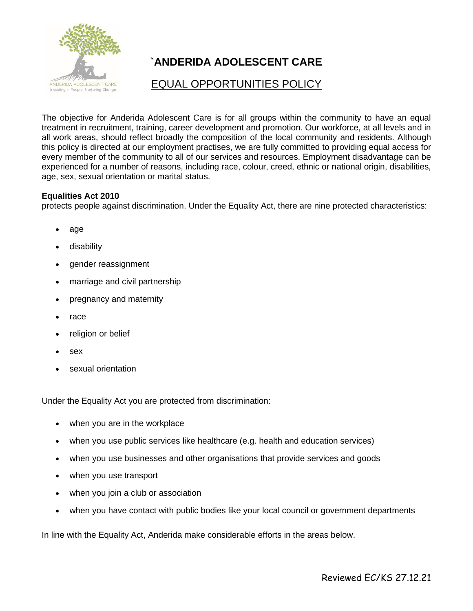

# **`ANDERIDA ADOLESCENT CARE**

## EQUAL OPPORTUNITIES POLICY

The objective for Anderida Adolescent Care is for all groups within the community to have an equal treatment in recruitment, training, career development and promotion. Our workforce, at all levels and in all work areas, should reflect broadly the composition of the local community and residents. Although this policy is directed at our employment practises, we are fully committed to providing equal access for every member of the community to all of our services and resources. Employment disadvantage can be experienced for a number of reasons, including race, colour, creed, ethnic or national origin, disabilities, age, sex, sexual orientation or marital status.

#### **Equalities Act 2010**

protects people against discrimination. Under the Equality Act, there are nine protected characteristics:

- [age](https://www.equalityhumanrights.com/en/advice-and-guidance/age-discrimination)
- [disability](https://www.equalityhumanrights.com/en/advice-and-guidance/disability-discrimination)
- [gender reassignment](https://www.equalityhumanrights.com/en/advice-and-guidance/gender-reassignment-discrimination)
- [marriage and civil partnership](https://www.equalityhumanrights.com/en/advice-and-guidance/marriage-and-civil-partnership-discrimination)
- [pregnancy and maternity](https://www.equalityhumanrights.com/en/our-work/managing-pregnancy-and-maternity-workplace)
- [race](https://www.equalityhumanrights.com/en/advice-and-guidance/race-discrimination)
- [religion or belief](https://www.equalityhumanrights.com/en/advice-and-guidance/religion-or-belief-discrimination)
- [sex](https://www.equalityhumanrights.com/en/advice-and-guidance/sex-discrimination)
- [sexual orientation](https://www.equalityhumanrights.com/en/advice-and-guidance/sexual-orientation-discrimination)

Under the Equality Act you are protected from discrimination:

- when you are in the workplace
- when you use public services like healthcare (e.g. health and education services)
- when you use businesses and other organisations that provide services and goods
- when you use transport
- when you join a club or association
- when you have contact with public bodies like your local council or government departments

In line with the Equality Act, Anderida make considerable efforts in the areas below.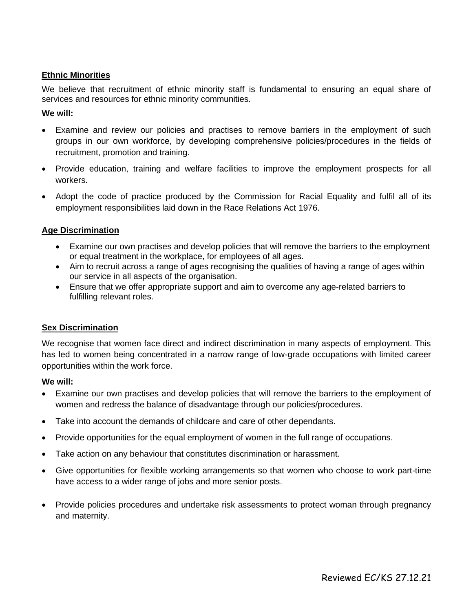#### **Ethnic Minorities**

We believe that recruitment of ethnic minority staff is fundamental to ensuring an equal share of services and resources for ethnic minority communities.

#### **We will:**

- Examine and review our policies and practises to remove barriers in the employment of such groups in our own workforce, by developing comprehensive policies/procedures in the fields of recruitment, promotion and training.
- Provide education, training and welfare facilities to improve the employment prospects for all workers.
- Adopt the code of practice produced by the Commission for Racial Equality and fulfil all of its employment responsibilities laid down in the Race Relations Act 1976.

#### **Age Discrimination**

- Examine our own practises and develop policies that will remove the barriers to the employment or equal treatment in the workplace, for employees of all ages.
- Aim to recruit across a range of ages recognising the qualities of having a range of ages within our service in all aspects of the organisation.
- Ensure that we offer appropriate support and aim to overcome any age-related barriers to fulfilling relevant roles.

#### **Sex Discrimination**

We recognise that women face direct and indirect discrimination in many aspects of employment. This has led to women being concentrated in a narrow range of low-grade occupations with limited career opportunities within the work force.

#### **We will:**

- Examine our own practises and develop policies that will remove the barriers to the employment of women and redress the balance of disadvantage through our policies/procedures.
- Take into account the demands of childcare and care of other dependants.
- Provide opportunities for the equal employment of women in the full range of occupations.
- Take action on any behaviour that constitutes discrimination or harassment.
- Give opportunities for flexible working arrangements so that women who choose to work part-time have access to a wider range of jobs and more senior posts.
- Provide policies procedures and undertake risk assessments to protect woman through pregnancy and maternity.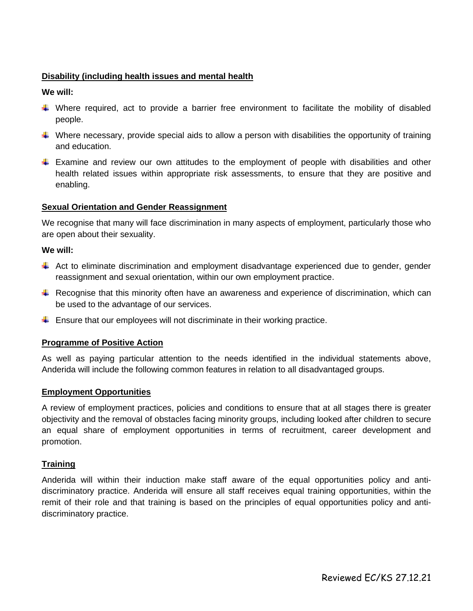### **Disability (including health issues and mental health**

#### **We will:**

- Where required, act to provide a barrier free environment to facilitate the mobility of disabled people.
- $\downarrow$  Where necessary, provide special aids to allow a person with disabilities the opportunity of training and education.
- $\ddot{\phantom{1}}$  Examine and review our own attitudes to the employment of people with disabilities and other health related issues within appropriate risk assessments, to ensure that they are positive and enabling.

#### **Sexual Orientation and Gender Reassignment**

We recognise that many will face discrimination in many aspects of employment, particularly those who are open about their sexuality.

#### **We will:**

- Act to eliminate discrimination and employment disadvantage experienced due to gender, gender reassignment and sexual orientation, within our own employment practice.
- $\perp$  Recognise that this minority often have an awareness and experience of discrimination, which can be used to the advantage of our services.
- $\ddot{\phantom{1}}$  Ensure that our employees will not discriminate in their working practice.

#### **Programme of Positive Action**

As well as paying particular attention to the needs identified in the individual statements above, Anderida will include the following common features in relation to all disadvantaged groups.

#### **Employment Opportunities**

A review of employment practices, policies and conditions to ensure that at all stages there is greater objectivity and the removal of obstacles facing minority groups, including looked after children to secure an equal share of employment opportunities in terms of recruitment, career development and promotion.

#### **Training**

Anderida will within their induction make staff aware of the equal opportunities policy and antidiscriminatory practice. Anderida will ensure all staff receives equal training opportunities, within the remit of their role and that training is based on the principles of equal opportunities policy and antidiscriminatory practice.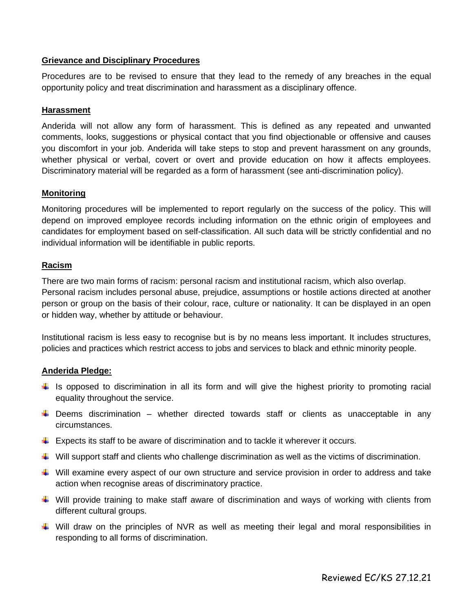#### **Grievance and Disciplinary Procedures**

Procedures are to be revised to ensure that they lead to the remedy of any breaches in the equal opportunity policy and treat discrimination and harassment as a disciplinary offence.

#### **Harassment**

Anderida will not allow any form of harassment. This is defined as any repeated and unwanted comments, looks, suggestions or physical contact that you find objectionable or offensive and causes you discomfort in your job. Anderida will take steps to stop and prevent harassment on any grounds, whether physical or verbal, covert or overt and provide education on how it affects employees. Discriminatory material will be regarded as a form of harassment (see anti-discrimination policy).

#### **Monitoring**

Monitoring procedures will be implemented to report regularly on the success of the policy. This will depend on improved employee records including information on the ethnic origin of employees and candidates for employment based on self-classification. All such data will be strictly confidential and no individual information will be identifiable in public reports.

#### **Racism**

There are two main forms of racism: personal racism and institutional racism, which also overlap. Personal racism includes personal abuse, prejudice, assumptions or hostile actions directed at another person or group on the basis of their colour, race, culture or nationality. It can be displayed in an open or hidden way, whether by attitude or behaviour.

Institutional racism is less easy to recognise but is by no means less important. It includes structures, policies and practices which restrict access to jobs and services to black and ethnic minority people.

#### **Anderida Pledge:**

- If is opposed to discrimination in all its form and will give the highest priority to promoting racial equality throughout the service.
- $\ddot{+}$  Deems discrimination whether directed towards staff or clients as unacceptable in any circumstances.
- $\downarrow$  Expects its staff to be aware of discrimination and to tackle it wherever it occurs.
- $\ddot{\phantom{1}}$  Will support staff and clients who challenge discrimination as well as the victims of discrimination.
- $\ddot{\bullet}$  Will examine every aspect of our own structure and service provision in order to address and take action when recognise areas of discriminatory practice.
- $\ddot{\phantom{1}}$  Will provide training to make staff aware of discrimination and ways of working with clients from different cultural groups.
- $\pm$  Will draw on the principles of NVR as well as meeting their legal and moral responsibilities in responding to all forms of discrimination.